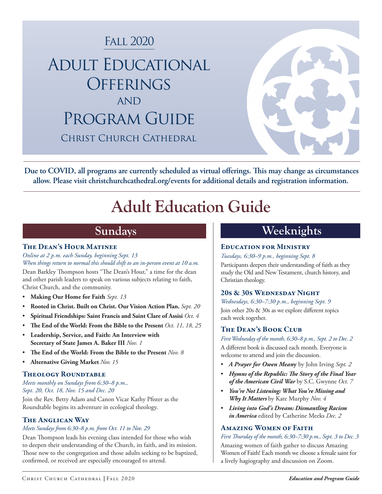

**Due to COVID, all programs are currently scheduled as virtual offerings. This may change as circumstances allow. Please visit christchurchcathedral.org/events for additional details and registration information.**

# **Adult Education Guide**

#### The Dean's Hour Matinee

### *Online at 2 p.m. each Sunday, beginning Sept. 13*

*When things return to normal this should shift to an in-person event at 10 a.m.* Dean Barkley Thompson hosts "The Dean's Hour," a time for the dean and other parish leaders to speak on various subjects relating to faith, Christ Church, and the community.

- **Making Our Home for Faith** *Sept. 13*
- **Rooted in Christ. Built on Christ. Our Vision Action Plan.** *Sept. 20*
- **Spiritual Friendships: Saint Francis and Saint Clare of Assisi** *Oct. 4*
- **The End of the World: From the Bible to the Present** *Oct. 11, 18, 25*
- **Leadership, Service, and Faith: An Interview with Secretary of State James A. Baker III** *Nov. 1*
- **The End of the World: From the Bible to the Present** *Nov. 8*
- **Alternative Giving Market** *Nov. 15*

#### Theology Roundtable

*Meets monthly on Sundays from 6:30–8 p.m., Sept. 20, Oct. 18, Nov. 15 and Dec. 20*

Join the Rev. Betty Adam and Canon Vicar Kathy Pfister as the Roundtable begins its adventure in ecological theology.

#### The Anglican Way

#### *Meets Sundays from 6:30–8 p.m. from Oct. 11 to Nov. 29*

Dean Thompson leads his evening class intended for those who wish to deepen their understanding of the Church, its faith, and its mission. Those new to the congregation and those adults seeking to be baptized, confirmed, or received are especially encouraged to attend.

## **Sundays Weeknights**

#### Education for Ministry

*Tuesdays, 6:30–9 p.m., beginning Sept. 8*

Participants deepen their understanding of faith as they study the Old and New Testament, church history, and Christian theology.

#### 20s & 30s Wednesday Night

*Wednesdays, 6:30–7:30 p.m., beginning Sept. 9* Join other 20s & 30s as we explore different topics each week together.

#### The Dean's Book Club

*First Wednesday of the month, 6:30–8 p.m., Sept. 2 to Dec. 2* A different book is discussed each month. Everyone is welcome to attend and join the discussion.

- *A Prayer for Owen Mean***y** by John Irving *Sept. 2*
- *Hymns of the Republic: The Story of the Final Year of the American Civil War* by S.C. Gwynne *Oct. 7*
- *You're Not Listening: What You're Missing and Why It Matters* by Kate Murphy *Nov. 4*
- *Living into God's Dream: Dismantling Racism in America* edited by Catherine Meeks *Dec. 2*

#### Amazing Women of Faith

*First Thursday of the month, 6:30–7:30 p.m., Sept. 3 to Dec. 3* Amazing women of faith gather to discuss Amazing Women of Faith! Each month we choose a female saint for a lively hagiography and discussion on Zoom.